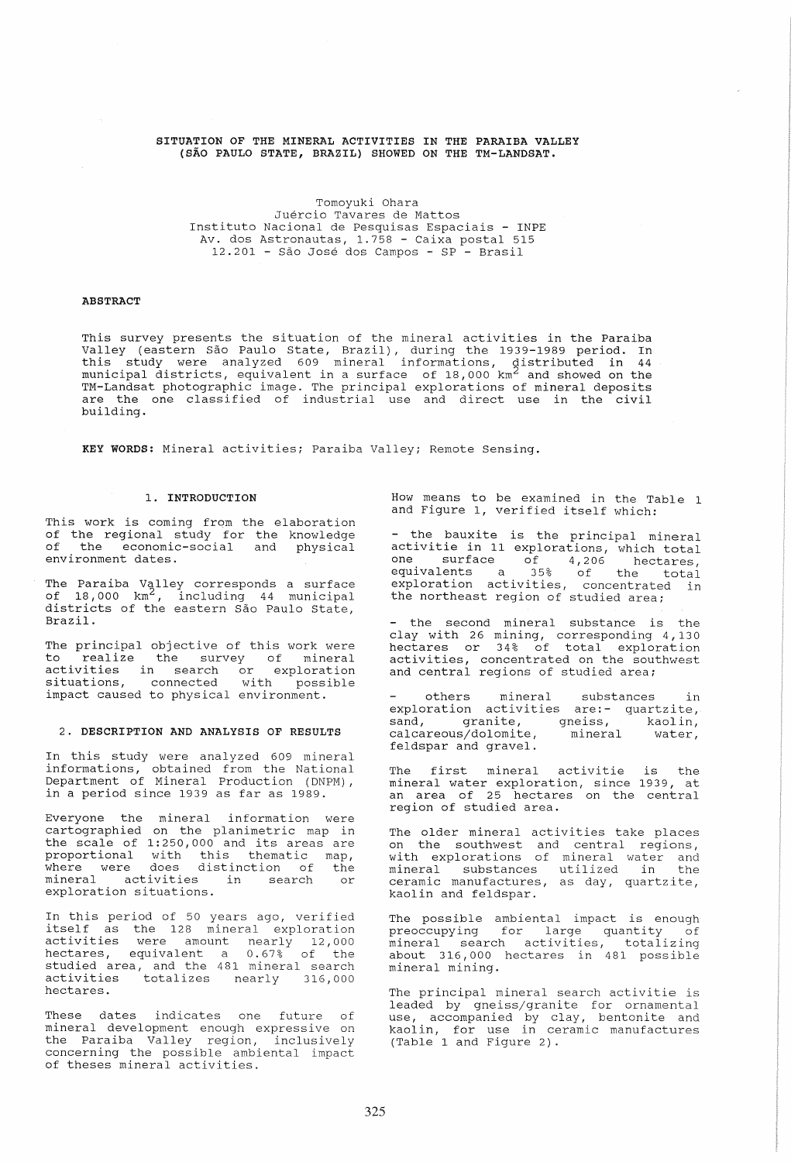# SITUATION OF THE MINERAL ACTIVITIES IN THE PARAIBA VALLEY (SAO PAULO STATE, BRAZIL) SHOWED ON THE TM-LANDSAT.

Tomoyuki Ohara Juercio Tavares de Mattos Instituto Nacional de Pesquisas Espaciais - INPE Av. dos Astronautas, 1.758 - Caixa postal 515 12.201 - Sao Jose dos Campos - SP - Brasil

### ABSTRACT

This survey presents the situation of the mineral activities in the Paraiba Valley (eastern Sao Paulo State, Brazil), during the 1939-1989 period. In this study were analyzed 609 mineral informations, distributed in 44 ente beauty were dimary and one minimitate informations, abertisaced in 44 TM-Landsat photographic image. The principal explorations of mineral deposits are the one classified of industrial use and direct use in the civil building.

KEY WORDS: Mineral activities; Paraiba Valley; Remote Sensing.

## 1. INTRODUCTION

This work is coming from the elaboration of the regional study for the knowledge of the economic-social and physical environment dates.

The Paraiba Valley corresponds a surface<br>of 18,000 km<sup>2</sup>, including 44 municipal districts of the eastern São Paulo State, Brazil.

The principal objective of this work were In principal expective of this work were<br>to realize the survey of mineral complete the sarver of minimital control of the search or exploration situations, connected with possible situations, connected with possible<br>impact caused to physical environment.

#### 2. DESCRIPTION AND ANALYSIS OF RESULTS

In this study were analyzed 609 mineral informations, obtained from the National Department of Mineral Production (DNPM), in a period since 1939 as far as 1989.

Everyone the mineral information were cartographied on the planimetric map in the scale of 1:250,000 and its areas are one board of figso, and fest areas are<br>proportional with this thematic map, proporcional with this entmatte map, minere were does discrimetion of the<br>mineral activities in search or exploration situations.

In this period of 50 years ago, verified In this period of 50 years ago, verified<br>itself as the 128 mineral exploration activities were amount nearly 12,000 hectares, equivalent a 0.67% of the studied area, and the 481 mineral search activities totalizes nearly 316,000 hectares.

These dates indicates one future of mineral development enough expressive on the Paraiba Valley region, inclusively concerning the possible ambiental impact of theses mineral activities.

How means to be examined in the Table 1 and Figure 1, verified itself which:

the bauxite is the principal mineral activitie in 11 explorations, which total one surface of 4,206 hectares,<br>equivalents a 35% of the total exploration activities, concentrated in the northeast region of studied area;

- the second mineral substance is the clay with 26 mining, corresponding 4,130 hectares or 34% of total exploration activities, concentrated on the southwest accriticity, concentrated on the Beat

others mineral substances in exploration activities are:- quartzite, sand, granite, gneiss, kaolin,<br>calcareous/dolomite, mineral water, calcareous/dolomite, feldspar and gravel.

The first mineral activitie is the mineral water exploration, since 1939, at an area of 25 hectares on the central region of studied area.

The older mineral activities take places on the southwest and central regions, with explorations of mineral water and mineral substances utilized in the minicial basseances acirrica in ene kaolin and feldspar.

The possible ambiental impact is enough preoccupying for large quantity of mineral search activities, totalizing about 316,000 hectares in 481 possible mineral mining.

The principal mineral search activitie is leaded by gneiss/granite for ornamental use, accompanied by clay, bentonite and kaol in, for use in ceramic manufactures (Table 1 and Figure 2).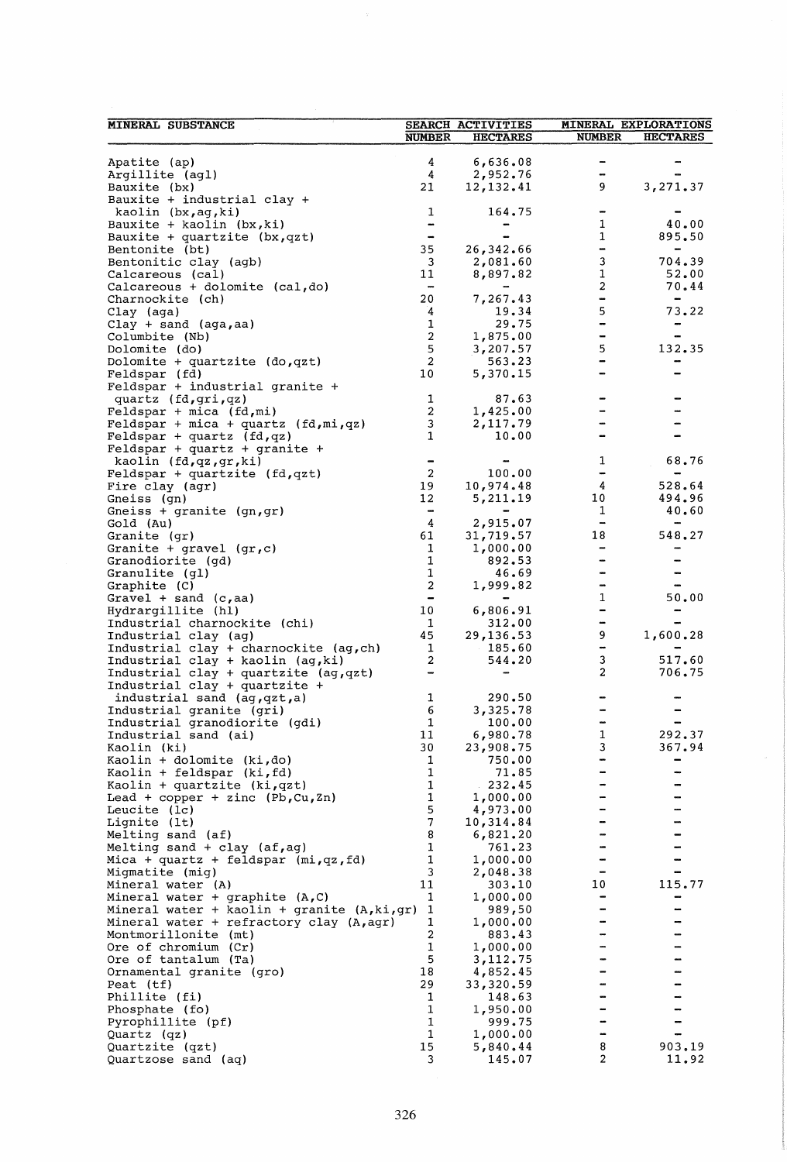| <b>MINERAL SUBSTANCE</b>                                              | SEARCH ACTIVITIES                                                               |                       | <b>MINERAL EXPLORATIONS</b>   |                                    |
|-----------------------------------------------------------------------|---------------------------------------------------------------------------------|-----------------------|-------------------------------|------------------------------------|
|                                                                       | <b>NUMBER</b>                                                                   | <b>HECTARES</b>       | <b>NUMBER</b>                 | <b>HECTARES</b>                    |
|                                                                       | 4                                                                               | 6,636.08              | $\blacksquare$                |                                    |
| Apatite (ap)<br>Argillite (agl)                                       | 4                                                                               | 2,952.76              |                               |                                    |
| Bauxite (bx)                                                          | 21                                                                              | 12,132.41             | 9                             | 3,271.37                           |
| Bauxite + industrial clay +                                           |                                                                                 |                       |                               |                                    |
| kaolin (bx, ag, ki)                                                   | 1                                                                               | 164.75                |                               |                                    |
| Bauxite + kaolin $(bx, ki)$                                           | $\blacksquare$                                                                  |                       | 1                             | 40.00                              |
| Bauxite + quartzite $(bx, qzt)$                                       | $\hskip1.6pt\hskip1.6pt\hskip1.6pt\hskip1.6pt\hskip1.6pt\hskip1.6pt\hskip1.6pt$ |                       | $\mathbf{1}$<br>$\frac{1}{2}$ | 895.50                             |
| Bentonite (bt)<br>Bentonitic clay (agb)                               | 35<br>3                                                                         | 26,342.66<br>2,081.60 | 3                             | 704.39                             |
| Calcareous (cal)                                                      | 11                                                                              | 8,897.82              | 1                             | 52.00                              |
| Calcareous + dolomite (cal,do)                                        | $\blacksquare$                                                                  |                       | $\overline{c}$                | 70.44                              |
| Charnockite (ch)                                                      | 20                                                                              | 7,267.43              | $\blacksquare$                | $\qquad \qquad \blacksquare$       |
| Clay (aga)                                                            | 4                                                                               | 19.34                 | 5                             | 73.22                              |
| $Clay + sand (aga, aa)$                                               | 1                                                                               | 29.75                 | $\qquad \qquad \blacksquare$  | $\blacksquare$                     |
| Columbite (Nb)                                                        | $\overline{\mathbf{c}}$<br>5                                                    | 1,875.00<br>3,207.57  | $\blacksquare$<br>5           | $\overline{\phantom{a}}$<br>132.35 |
| Dolomite (do)<br>Dolomite + quartzite $(do, qzt)$                     | $\overline{2}$                                                                  | 563.23                | -                             |                                    |
| Feldspar (fd)                                                         | 10                                                                              | 5,370.15              |                               |                                    |
| Feldspar + industrial granite +                                       |                                                                                 |                       |                               |                                    |
| quartz (fd, qri, qz)                                                  | $\mathbf{1}$                                                                    | 87.63                 |                               |                                    |
| Feldspar + mica $(fd, mi)$                                            | $\overline{\mathbf{c}}$                                                         | 1,425.00              |                               |                                    |
| Feldspar + mica + quartz $(fd,mi,qz)$                                 | 3                                                                               | 2,117.79              |                               |                                    |
| Feldspar + quartz $(fd, qz)$                                          | 1                                                                               | 10.00                 |                               |                                    |
| Feldspar + quartz + granite +                                         |                                                                                 |                       | 1                             | 68.76                              |
| kaolin (fd,qz,gr,ki)<br>Feldspar + quartzite $(fd, qzt)$              | -<br>$\overline{2}$                                                             | 100.00                |                               |                                    |
| Fire clay (agr)                                                       | 19                                                                              | 10,974.48             | 4                             | 528.64                             |
| Gneiss (gn)                                                           | 12                                                                              | 5,211.19              | 10                            | 494.96                             |
| Gneiss + granite $(gn, gr)$                                           | $\blacksquare$                                                                  |                       | 1                             | 40.60                              |
| Gold (Au)                                                             | 4                                                                               | 2,915.07              | $\qquad \qquad \blacksquare$  |                                    |
| Granite (gr)                                                          | 61                                                                              | 31,719.57             | 18                            | 548.27                             |
| Granite + gravel $(gr, c)$                                            | 1                                                                               | 1,000.00              | $\blacksquare$                |                                    |
| Granodiorite (gd)                                                     | 1<br>$\mathbf{1}$                                                               | 892.53                | $\overline{\phantom{a}}$<br>- |                                    |
| Granulite (gl)<br>Graphite (C)                                        | $\overline{a}$                                                                  | 46.69<br>1,999.82     | ÷                             | $\qquad \qquad \blacksquare$       |
| Gravel + sand $(c,aa)$                                                | $\overline{\phantom{a}}$                                                        |                       | 1                             | 50.00                              |
| Hydrargillite (hl)                                                    | 10                                                                              | 6,806.91              | -                             |                                    |
| Industrial charnockite (chi)                                          | 1                                                                               | 312.00                | an,                           |                                    |
| Industrial clay (ag)                                                  | 45                                                                              | 29,136.53             | 9                             | 1,600.28                           |
| Industrial clay + charnockite (ag,ch)                                 | 1                                                                               | 185.60                | $\blacksquare$                |                                    |
| Industrial clay + kaolin (ag, ki)                                     | 2                                                                               | 544.20                | 3<br>$\overline{2}$           | 517.60                             |
| Industrial clay + quartzite (ag,qzt)<br>Industrial clay + quartzite + | -                                                                               |                       |                               | 706.75                             |
| industrial sand (ag, qzt, a)                                          | 1                                                                               | 290.50                |                               |                                    |
| Industrial granite (gri)                                              | 6                                                                               | 3,325.78              |                               |                                    |
| Industrial granodiorite (gdi)                                         | $\mathbf 1$                                                                     | 100.00                | $\overline{\phantom{a}}$      |                                    |
| Industrial sand (ai)                                                  | 11                                                                              | 6,980.78              | 1                             | 292.37                             |
| Kaolin (ki)                                                           | 30                                                                              | 23,908.75             | 3                             | 367.94                             |
| Kaolin + dolomite (ki,do)                                             | 1                                                                               | 750.00                |                               |                                    |
| Kaolin + feldspar (ki, fd)<br>Kaolin + quartzite $(ki, qzt)$          | $\mathbf{1}$<br>1                                                               | 71.85<br>232.45       |                               |                                    |
| Lead + copper + zinc $(Pb, Cu, Zn)$                                   | 1                                                                               | 1,000.00              |                               |                                    |
| Leucite (lc)                                                          | 5                                                                               | 4,973.00              |                               |                                    |
| Lignite (1t)                                                          | $\overline{7}$                                                                  | 10,314.84             |                               |                                    |
| Melting sand (af)                                                     | 8                                                                               | 6,821.20              |                               |                                    |
| Melting sand + clay (af, ag)                                          | 1                                                                               | 761.23                |                               |                                    |
| Mica + quartz + feldspar $(mi, qz, fd)$                               | 1                                                                               | 1,000.00              | -                             |                                    |
| Migmatite (mig)<br>Mineral water (A)                                  | 3<br>11                                                                         | 2,048.38<br>303.10    | 10                            | 115.77                             |
| Mineral water + graphite $(A,C)$                                      | 1                                                                               | 1,000.00              |                               |                                    |
| Mineral water + kaolin + granite $(A, ki, gr)$                        | $\mathbf{1}$                                                                    | 989,50                |                               |                                    |
| Mineral water + refractory clay (A, agr)                              | 1                                                                               | 1,000.00              |                               |                                    |
| Montmorillonite (mt)                                                  | $\overline{c}$                                                                  | 883.43                |                               |                                    |
| Ore of chromium (Cr)                                                  | $\mathbf{1}$                                                                    | 1,000.00              |                               |                                    |
| Ore of tantalum (Ta)                                                  | 5                                                                               | 3,112.75              |                               |                                    |
| Ornamental granite (gro)                                              | 18<br>29                                                                        | 4,852.45<br>33,320.59 |                               |                                    |
| Peat (tf)<br>Phillite (fi)                                            | 1                                                                               | 148.63                |                               |                                    |
| Phosphate (fo)                                                        | 1                                                                               | 1,950.00              |                               |                                    |
| Pyrophillite (pf)                                                     | $\mathbf{1}$                                                                    | 999.75                |                               |                                    |
| Quartz (qz)                                                           | 1                                                                               | 1,000.00              | $\overline{\phantom{a}}$      |                                    |
| Quartzite (qzt)                                                       | 15                                                                              | 5,840.44              | 8                             | 903.19                             |
| Quartzose sand (aq)                                                   | 3                                                                               | 145.07                | 2                             | 11.92                              |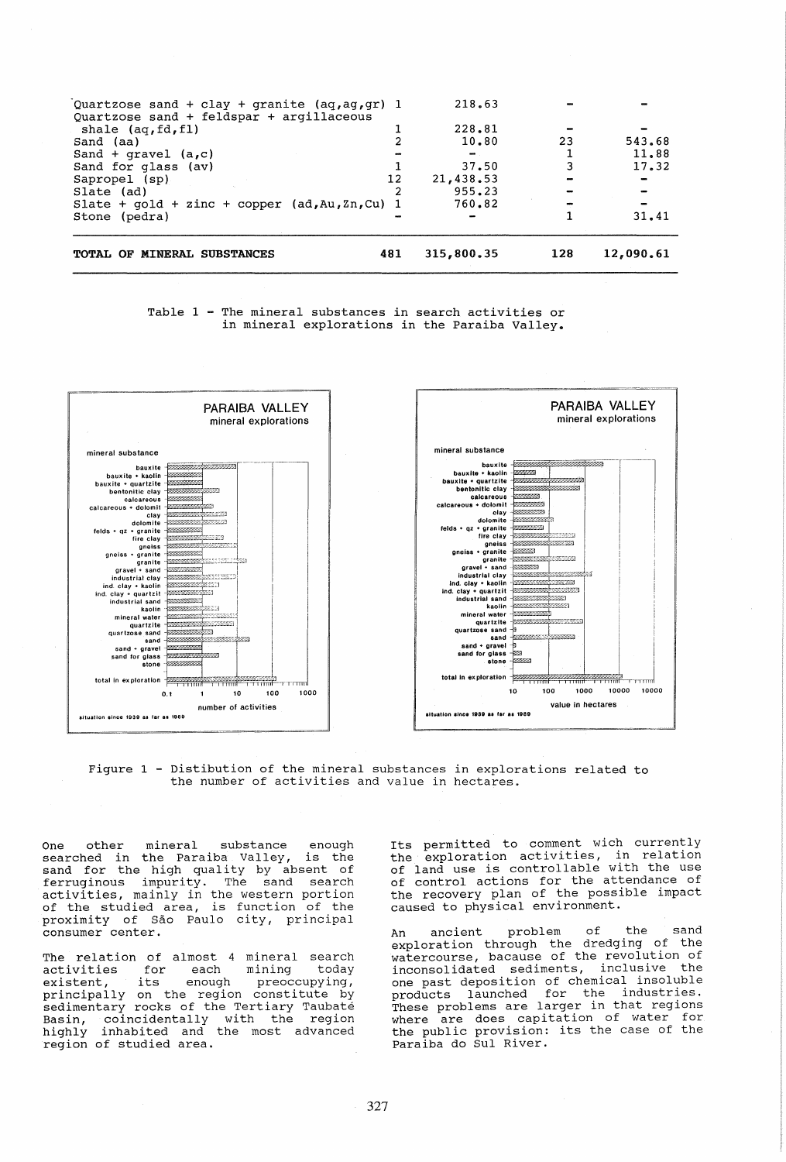| 760.82<br>Slate + $qold$ + zinc + copper $(ad, Au, Zn, Cu)$ 1 |    | 31.41                                                     |
|---------------------------------------------------------------|----|-----------------------------------------------------------|
|                                                               |    |                                                           |
|                                                               |    |                                                           |
|                                                               |    |                                                           |
| 12                                                            |    |                                                           |
|                                                               |    | 17.32                                                     |
| me                                                            |    | 11.88                                                     |
|                                                               | 23 | 543.68                                                    |
|                                                               |    |                                                           |
|                                                               |    |                                                           |
| Quartzose sand + clay + granite $(aq, aq, qr)$ 1              |    |                                                           |
|                                                               |    | 218.63<br>228.81<br>10.80<br>37.50<br>21,438.53<br>955.23 |

Table 1 - The mineral substances in search activities or in mineral explorations in the Paraiba Valley.



Figure 1 - Distibution of the mineral substances in explorations related to the number of activities and value in hectares.

One other mineral substance enough searched in the Paraiba Valley, is the sand for the high quality by absent of ferruginous impurity. The sand search activities, mainly in the western portion of the studied area, is function of the proximity of Sao Paulo city, principal consumer center.

The relation of almost 4 mineral search Interaction of dimose 4 minerar search activities for each mining today<br>existent, its enough preoccupying, principally on the region constitute by sedimentary rocks of the Tertiary Taubate Basin, coincidentally with the region highly inhabited and the most advanced region of studied area.

Its permitted to comment wich currently the exploration activities, in relation of land use is controllable with the use of control actions for the attendance of the recovery plan of the possible impact caused to physical environment.

An ancient problem of the sand exploration through the dredging of the watercourse, bacause of the revolution of inconsolidated sediments, inclusive the one past deposition of chemical insoluble<br>products launched for the industries. products launched for the industries. These problems are larger in that regions where are does capitation of water for where are does capitation of water form Paraiba do SuI River.